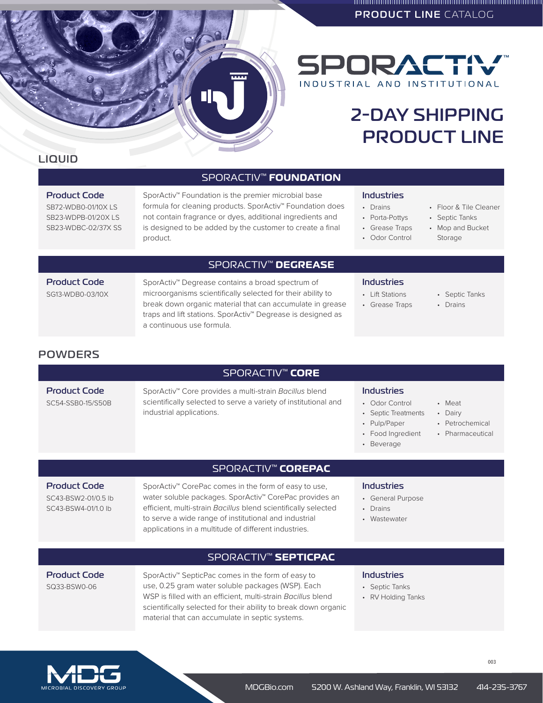PRODUCT LINE CATALOG



2-DAY SHIPPING

PRODUCT LINE

# LIQUID

## SPORACTIV™ **FOUNDATION**

## Product Code

SB72-WDB0-01/10X LS SB23-WDPB-01/20X LS SB23-WDBC-02/37X SS SporActiv™ Foundation is the premier microbial base formula for cleaning products. SporActiv™ Foundation does not contain fragrance or dyes, additional ingredients and is designed to be added by the customer to create a final product.

## SPORACTIV™ **DEGREASE**

Product Code SG13-WDB0-03/10X SporActiv™ Degrease contains a broad spectrum of microorganisms scientifically selected for their ability to break down organic material that can accumulate in grease traps and lift stations. SporActiv™ Degrease is designed as a continuous use formula.

### Industries

Industries • Drains • Porta-Pottys • Grease Traps • Odor Control

- Lift Stations
- Grease Traps
- Mop and Bucket

• Septic Tanks • Drains

• Floor & Tile Cleaner • Septic Tanks

- Storage
- 

## **POWDERS**

Product Code SC54-SSB0-15/S50B

### SPORACTIV™ **CORE**

SporActiv™ Core provides a multi-strain *Bacillus* blend scientifically selected to serve a variety of institutional and industrial applications.

### Industries

- Odor Control
- Septic Treatments
- Pulp/Paper
- Food Ingredient
- Beverage

Industries • General Purpose

• Drains • Wastewater

- Meat
- Dairy
- Petrochemical • Pharmaceutical
- 

# SPORACTIV™ **COREPAC**

Product Code SC43-BSW2-01/0.5 lb SC43-BSW4-01/1.0 lb

SporActiv™ CorePac comes in the form of easy to use, water soluble packages. SporActiv™ CorePac provides an efficient, multi-strain *Bacillus* blend scientifically selected to serve a wide range of institutional and industrial applications in a multitude of different industries.

## SPORACTIV™ **SEPTICPAC**

Product Code SQ33-BSW0-06

SporActiv™ SepticPac comes in the form of easy to use, 0.25 gram water soluble packages (WSP). Each WSP is filled with an efficient, multi-strain *Bacillus* blend scientifically selected for their ability to break down organic material that can accumulate in septic systems.

### Industries

- Septic Tanks
- RV Holding Tanks